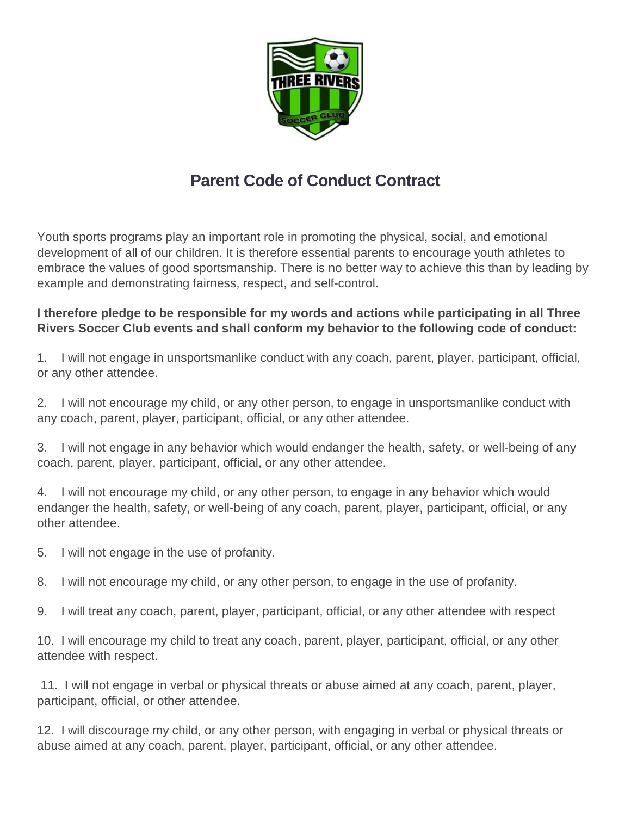

## **Parent Code of Conduct Contract**

Youth sports programs play an important role in promoting the physical, social, and emotional development of all of our children. It is therefore essential parents to encourage youth athletes to embrace the values of good sportsmanship. There is no better way to achieve this than by leading by example and demonstrating fairness, respect, and self-control.

## **I therefore pledge to be responsible for my words and actions while participating in all Three Rivers Soccer Club events and shall conform my behavior to the following code of conduct:**

1. I will not engage in unsportsmanlike conduct with any coach, parent, player, participant, official, or any other attendee.

2. I will not encourage my child, or any other person, to engage in unsportsmanlike conduct with any coach, parent, player, participant, official, or any other attendee.

3. I will not engage in any behavior which would endanger the health, safety, or well-being of any coach, parent, player, participant, official, or any other attendee.

4. I will not encourage my child, or any other person, to engage in any behavior which would endanger the health, safety, or well-being of any coach, parent, player, participant, official, or any other attendee.

5. I will not engage in the use of profanity.

8. I will not encourage my child, or any other person, to engage in the use of profanity.

9. I will treat any coach, parent, player, participant, official, or any other attendee with respect

10. I will encourage my child to treat any coach, parent, player, participant, official, or any other attendee with respect.

11. I will not engage in verbal or physical threats or abuse aimed at any coach, parent, player, participant, official, or other attendee.

12. I will discourage my child, or any other person, with engaging in verbal or physical threats or abuse aimed at any coach, parent, player, participant, official, or any other attendee.